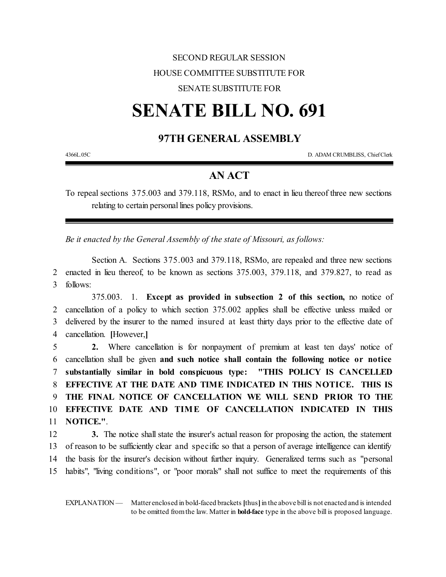## SECOND REGULAR SESSION HOUSE COMMITTEE SUBSTITUTE FOR

### SENATE SUBSTITUTE FOR

# **SENATE BILL NO. 691**

### **97TH GENERAL ASSEMBLY**

4366L.05C D. ADAM CRUMBLISS, ChiefClerk

#### **AN ACT**

To repeal sections 375.003 and 379.118, RSMo, and to enact in lieu thereof three new sections relating to certain personal lines policy provisions.

*Be it enacted by the General Assembly of the state of Missouri, as follows:*

Section A. Sections 375.003 and 379.118, RSMo, are repealed and three new sections 2 enacted in lieu thereof, to be known as sections 375.003, 379.118, and 379.827, to read as 3 follows:

375.003. 1. **Except as provided in subsection 2 of this section,** no notice of cancellation of a policy to which section 375.002 applies shall be effective unless mailed or delivered by the insurer to the named insured at least thirty days prior to the effective date of cancellation. **[**However,**]**

 **2.** Where cancellation is for nonpayment of premium at least ten days' notice of cancellation shall be given **and such notice shall contain the following notice or notice substantially similar in bold conspicuous type: "THIS POLICY IS CANCELLED EFFECTIVE AT THE DATE AND TIME INDICATED IN THIS NOTICE. THIS IS THE FINAL NOTICE OF CANCELLATION WE WILL SEND PRIOR TO THE EFFECTIVE DATE AND TIME OF CANCELLATION INDICATED IN THIS NOTICE."**.

 **3.** The notice shall state the insurer's actual reason for proposing the action, the statement of reason to be sufficiently clear and specific so that a person of average intelligence can identify the basis for the insurer's decision without further inquiry. Generalized terms such as "personal habits", "living conditions", or "poor morals" shall not suffice to meet the requirements of this

EXPLANATION — Matter enclosed in bold-faced brackets [thus] in the above bill is not enacted and is intended to be omitted fromthe law. Matter in **bold-face** type in the above bill is proposed language.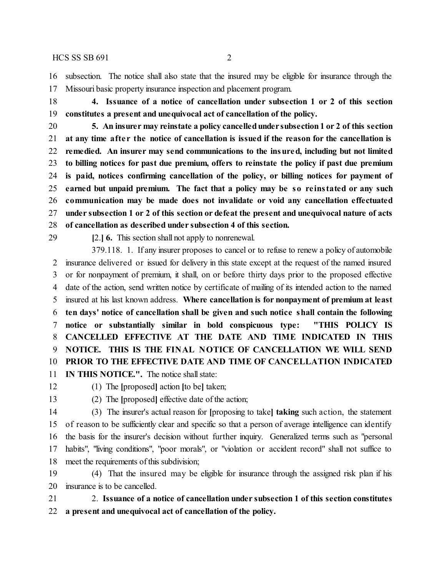$HCS$  SS SB 691 2

 subsection. The notice shall also state that the insured may be eligible for insurance through the Missouri basic property insurance inspection and placement program.

 **4. Issuance of a notice of cancellation under subsection 1 or 2 of this section constitutes a present and unequivocal act of cancellation of the policy.**

 **5. An insurer may reinstate a policy cancelledunder subsection1 or 2 of this section at any time afte r the notice of cancellation is issued if the reason for the cancellation is remedied. An insurer may send communications to the insured, including but not limited to billing notices for past due premium, offers to reinstate the policy if past due premium is paid, notices confirming cancellation of the policy, or billing notices for payment of earned but unpaid premium. The fact that a policy may be so re instated or any such communication may be made does not invalidate or void any cancellation effectuated under subsection 1 or 2 of this section or defeat the present and unequivocal nature of acts of cancellation as described under subsection 4 of this section.**

**[**2.**] 6.** This section shall not apply to nonrenewal.

379.118. 1. If any insurer proposes to cancel or to refuse to renew a policy of automobile insurance delivered or issued for delivery in this state except at the request of the named insured or for nonpayment of premium, it shall, on or before thirty days prior to the proposed effective date of the action, send written notice by certificate of mailing of its intended action to the named insured at his last known address. **Where cancellation is for nonpayment of premium at least ten days' notice of cancellation shall be given and such notice shall contain the following notice or substantially similar in bold conspicuous type: "THIS POLICY IS CANCELLED EFFECTIVE AT THE DATE AND TIME INDICATED IN THIS NOTICE. THIS IS THE FINAL NOTICE OF CANCELLATION WE WILL SEND PRIOR TO THE EFFECTIVE DATE AND TIME OF CANCELLATION INDICATED**

**IN THIS NOTICE.".** The notice shall state:

(1) The **[**proposed**]** action **[**to be**]** taken;

(2) The **[**proposed**]** effective date of the action;

 (3) The insurer's actual reason for **[**proposing to take**] taking** such action, the statement of reason to be sufficiently clear and specific so that a person of average intelligence can identify the basis for the insurer's decision without further inquiry. Generalized terms such as "personal habits", "living conditions", "poor morals", or "violation or accident record" shall not suffice to meet the requirements ofthis subdivision;

 (4) That the insured may be eligible for insurance through the assigned risk plan if his insurance is to be cancelled.

 2. **Issuance of a notice of cancellation under subsection 1 of this section constitutes a present and unequivocal act of cancellation of the policy.**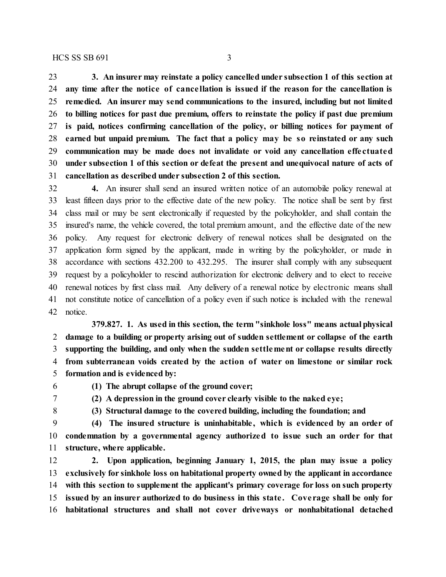**3. An insurer may reinstate a policy cancelled under subsection 1 of this section at any time after the notice of cance llation is issued if the reason for the cancellation is remedied. An insurer may send communications to the insured, including but not limited to billing notices for past due premium, offers to reinstate the policy if past due premium is paid, notices confirming cancellation of the policy, or billing notices for payment of earned but unpaid premium. The fact that a policy may be so reinstated or any such communication may be made does not invalidate or void any cancellation effe ctuated under subsection 1 of this section or defeat the present and unequivocal nature of acts of cancellation as described under subsection 2 of this section.**

 **4.** An insurer shall send an insured written notice of an automobile policy renewal at least fifteen days prior to the effective date of the new policy. The notice shall be sent by first class mail or may be sent electronically if requested by the policyholder, and shall contain the insured's name, the vehicle covered, the total premium amount, and the effective date of the new policy. Any request for electronic delivery of renewal notices shall be designated on the application form signed by the applicant, made in writing by the policyholder, or made in accordance with sections 432.200 to 432.295. The insurer shall comply with any subsequent request by a policyholder to rescind authorization for electronic delivery and to elect to receive renewal notices by first class mail. Any delivery of a renewal notice by electronic means shall not constitute notice of cancellation of a policy even if such notice is included with the renewal notice.

**379.827. 1. As used in this section, the term "sinkhole loss" means actual physical damage to a building or property arising out of sudden settlement or collapse of the earth supporting the building, and only when the sudden settlement or collapse results directly from subterranean voids created by the action of water on limestone or similar rock formation and is evidenced by:**

- 
- **(1) The abrupt collapse of the ground cover;**
- **(2) A depression in the ground cover clearly visible to the naked eye;**
- 
- **(3) Structural damage to the covered building, including the foundation; and**

 **(4) The insured structure is uninhabitable , which is evidenced by an order of condemnation by a governmental agency authorized to issue such an order for that structure, where applicable.**

 **2. Upon application, beginning January 1, 2015, the plan may issue a policy exclusively for sinkhole loss on habitational property owned by the applicant in accordance with this section to supplement the applicant's primary coverage for loss on such property issued by an insurer authorized to do business in this state . Cove rage shall be only for habitational structures and shall not cover driveways or nonhabitational detached**